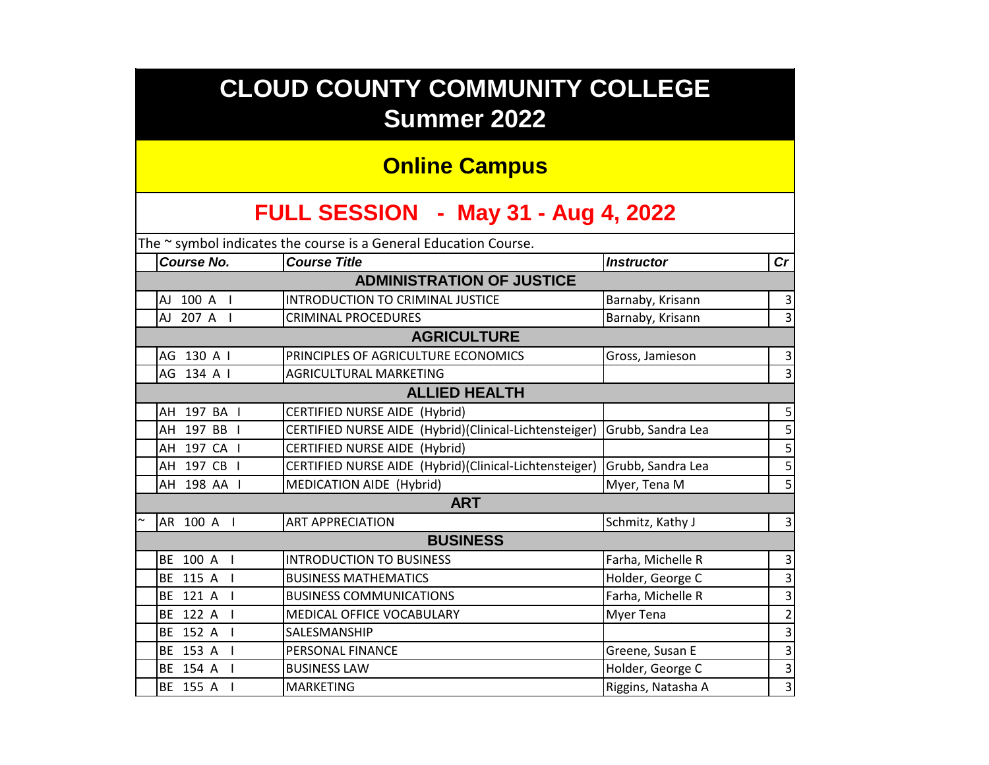# **CLOUD COUNTY COMMUNITY COLLEGE Summer 2022**

### **Online Campus**

## **FULL SESSION - May 31 - Aug 4, 2022**

| The $\sim$ symbol indicates the course is a General Education Course. |                                                        |                    |                |  |  |  |
|-----------------------------------------------------------------------|--------------------------------------------------------|--------------------|----------------|--|--|--|
| <b>Course No.</b>                                                     | <b>Course Title</b>                                    | <b>Instructor</b>  | cr             |  |  |  |
| <b>ADMINISTRATION OF JUSTICE</b>                                      |                                                        |                    |                |  |  |  |
| AJ 100 A I                                                            | <b>INTRODUCTION TO CRIMINAL JUSTICE</b>                | Barnaby, Krisann   | $\vert$ 3      |  |  |  |
| AJ 207 A I                                                            | <b>CRIMINAL PROCEDURES</b>                             | Barnaby, Krisann   | $\overline{3}$ |  |  |  |
|                                                                       | <b>AGRICULTURE</b>                                     |                    |                |  |  |  |
| AG 130 A I                                                            | PRINCIPLES OF AGRICULTURE ECONOMICS                    | Gross, Jamieson    | $\vert$ 3      |  |  |  |
| AG 134 A I                                                            | <b>AGRICULTURAL MARKETING</b>                          |                    | $\vert$ 3      |  |  |  |
| <b>ALLIED HEALTH</b>                                                  |                                                        |                    |                |  |  |  |
| AH 197 BA I                                                           | CERTIFIED NURSE AIDE (Hybrid)                          |                    | $\mathsf S$    |  |  |  |
| AH 197 BB I                                                           | CERTIFIED NURSE AIDE (Hybrid)(Clinical-Lichtensteiger) | Grubb, Sandra Lea  | $\mathsf S$    |  |  |  |
| AH 197 CA I                                                           | CERTIFIED NURSE AIDE (Hybrid)                          |                    | $\mathsf S$    |  |  |  |
| AH 197 CB I                                                           | CERTIFIED NURSE AIDE (Hybrid)(Clinical-Lichtensteiger) | Grubb, Sandra Lea  | $\mathsf S$    |  |  |  |
| AH 198 AA I                                                           | MEDICATION AIDE (Hybrid)                               | Myer, Tena M       | 5              |  |  |  |
| <b>ART</b>                                                            |                                                        |                    |                |  |  |  |
| AR 100 A I                                                            | <b>ART APPRECIATION</b>                                | Schmitz, Kathy J   | 3 <sup>2</sup> |  |  |  |
| <b>BUSINESS</b>                                                       |                                                        |                    |                |  |  |  |
| BE 100 A I                                                            | <b>INTRODUCTION TO BUSINESS</b>                        | Farha, Michelle R  | $\vert$ 3      |  |  |  |
| BE 115 A I                                                            | <b>BUSINESS MATHEMATICS</b>                            | Holder, George C   | $\overline{3}$ |  |  |  |
| BE 121 A                                                              | <b>BUSINESS COMMUNICATIONS</b>                         | Farha, Michelle R  | $\overline{3}$ |  |  |  |
| BE 122 A                                                              | MEDICAL OFFICE VOCABULARY                              | Myer Tena          | $\overline{2}$ |  |  |  |
| BE 152 A                                                              | SALESMANSHIP                                           |                    | $\mathbf{3}$   |  |  |  |
| BE 153 A                                                              | PERSONAL FINANCE                                       | Greene, Susan E    | 3              |  |  |  |
| BE 154 A                                                              | <b>BUSINESS LAW</b>                                    | Holder, George C   | $\mathsf{3}$   |  |  |  |
| BE 155 A                                                              | <b>MARKETING</b>                                       | Riggins, Natasha A | $\mathsf{3}$   |  |  |  |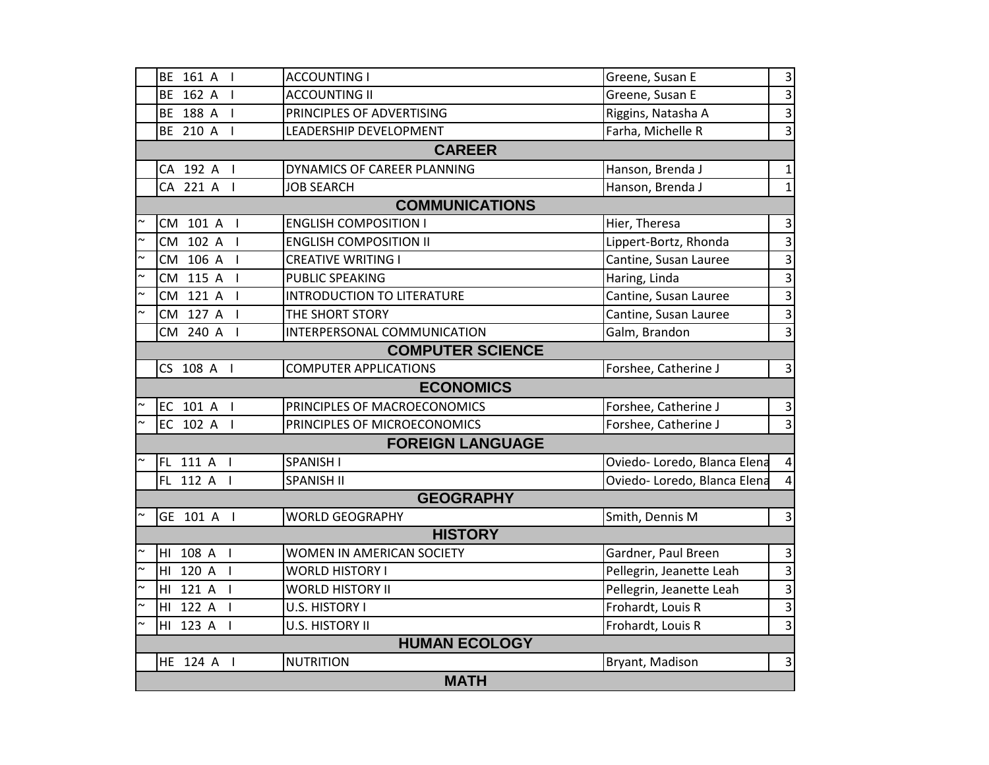|             | BE 161 A   | <b>ACCOUNTING I</b>               | Greene, Susan E             | 3              |
|-------------|------------|-----------------------------------|-----------------------------|----------------|
|             | BE 162 A I | <b>ACCOUNTING II</b>              | Greene, Susan E             | 3              |
|             | BE 188 A I | PRINCIPLES OF ADVERTISING         | Riggins, Natasha A          | 3              |
|             | BE 210 A I | LEADERSHIP DEVELOPMENT            | Farha, Michelle R           | $\overline{3}$ |
|             |            | <b>CAREER</b>                     |                             |                |
|             | CA 192 A I | DYNAMICS OF CAREER PLANNING       | Hanson, Brenda J            | 1              |
|             | CA 221 A I | <b>JOB SEARCH</b>                 | Hanson, Brenda J            | 1              |
|             |            | <b>COMMUNICATIONS</b>             |                             |                |
|             | CM 101 A I | <b>ENGLISH COMPOSITION I</b>      | Hier, Theresa               | 3              |
|             | CM 102 A I | <b>ENGLISH COMPOSITION II</b>     | Lippert-Bortz, Rhonda       | 3              |
|             | CM 106 A I | <b>CREATIVE WRITING I</b>         | Cantine, Susan Lauree       | 3              |
|             | CM 115 A I | <b>PUBLIC SPEAKING</b>            | Haring, Linda               | 3              |
|             | CM 121 A I | <b>INTRODUCTION TO LITERATURE</b> | Cantine, Susan Lauree       | 3              |
|             | CM 127 A I | THE SHORT STORY                   | Cantine, Susan Lauree       | 3              |
|             | CM 240 A I | INTERPERSONAL COMMUNICATION       | Galm, Brandon               | 3              |
|             |            | <b>COMPUTER SCIENCE</b>           |                             |                |
|             | CS 108 A I | <b>COMPUTER APPLICATIONS</b>      | Forshee, Catherine J        | 3              |
|             |            | <b>ECONOMICS</b>                  |                             |                |
|             | EC 101 A I | PRINCIPLES OF MACROECONOMICS      | Forshee, Catherine J        | 3              |
|             | EC 102 A I | PRINCIPLES OF MICROECONOMICS      | Forshee, Catherine J        | $\overline{3}$ |
|             |            | <b>FOREIGN LANGUAGE</b>           |                             |                |
|             | FL 111 A I | <b>SPANISH I</b>                  | Oviedo-Loredo, Blanca Elena | 4              |
|             | FL 112 A I | <b>SPANISH II</b>                 | Oviedo-Loredo, Blanca Elena |                |
|             |            | <b>GEOGRAPHY</b>                  |                             |                |
|             | GE 101 A I | <b>WORLD GEOGRAPHY</b>            | Smith, Dennis M             | 3              |
|             |            | <b>HISTORY</b>                    |                             |                |
|             | HI 108 A I | WOMEN IN AMERICAN SOCIETY         | Gardner, Paul Breen         | 3              |
|             | HI 120 A I | <b>WORLD HISTORY I</b>            | Pellegrin, Jeanette Leah    | 3              |
|             | HI 121 A I | <b>WORLD HISTORY II</b>           | Pellegrin, Jeanette Leah    | 3              |
|             | HI 122 A I | U.S. HISTORY I                    | Frohardt, Louis R           | 3              |
|             | HI 123 A I | U.S. HISTORY II                   | Frohardt, Louis R           | 3              |
|             |            | <b>HUMAN ECOLOGY</b>              |                             |                |
|             | HE 124 A I | <b>NUTRITION</b>                  | Bryant, Madison             | 3              |
| <b>MATH</b> |            |                                   |                             |                |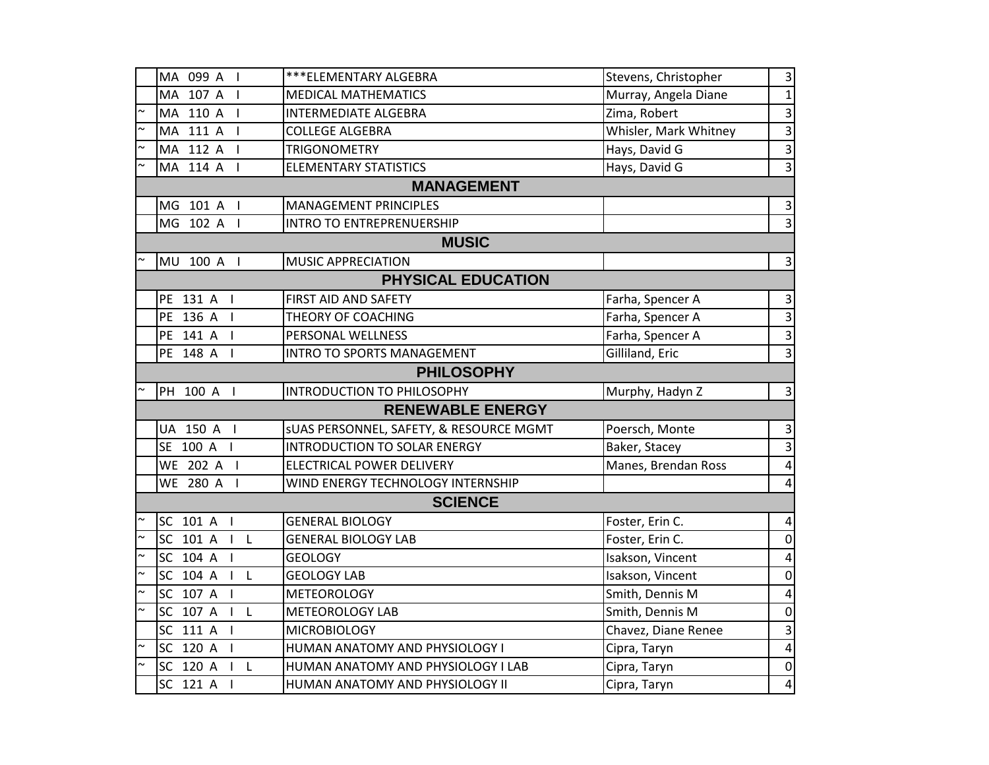| MA 099 A I                              | ***ELEMENTARY ALGEBRA                   | Stevens, Christopher  | 3                       |  |  |  |
|-----------------------------------------|-----------------------------------------|-----------------------|-------------------------|--|--|--|
| MA 107 A I                              | <b>MEDICAL MATHEMATICS</b>              | Murray, Angela Diane  | $\mathbf{1}$            |  |  |  |
| MA 110 A I                              | <b>INTERMEDIATE ALGEBRA</b>             | Zima, Robert          | $\mathsf 3$             |  |  |  |
| MA 111 A I                              | <b>COLLEGE ALGEBRA</b>                  | Whisler, Mark Whitney | 3                       |  |  |  |
| $\sim$<br>MA 112 A I                    | <b>TRIGONOMETRY</b>                     | Hays, David G         | 3                       |  |  |  |
| MA 114 A I                              | <b>ELEMENTARY STATISTICS</b>            | Hays, David G         | 3                       |  |  |  |
|                                         | <b>MANAGEMENT</b>                       |                       |                         |  |  |  |
| MG 101 A I                              | <b>MANAGEMENT PRINCIPLES</b>            |                       | 3                       |  |  |  |
| MG 102 A I                              | <b>INTRO TO ENTREPRENUERSHIP</b>        |                       | $\overline{3}$          |  |  |  |
|                                         | <b>MUSIC</b>                            |                       |                         |  |  |  |
| MU 100 A I                              | MUSIC APPRECIATION                      |                       | $\overline{3}$          |  |  |  |
| <b>PHYSICAL EDUCATION</b>               |                                         |                       |                         |  |  |  |
| PE 131 A I                              | FIRST AID AND SAFETY                    | Farha, Spencer A      | 3                       |  |  |  |
| PE 136 A I                              | THEORY OF COACHING                      | Farha, Spencer A      | 3                       |  |  |  |
| PE 141 A<br>$\blacksquare$              | PERSONAL WELLNESS                       | Farha, Spencer A      | $\overline{3}$          |  |  |  |
| PE 148 A I                              | INTRO TO SPORTS MANAGEMENT              | Gilliland, Eric       | $\overline{3}$          |  |  |  |
|                                         | <b>PHILOSOPHY</b>                       |                       |                         |  |  |  |
| PH 100 A I                              | <b>INTRODUCTION TO PHILOSOPHY</b>       | Murphy, Hadyn Z       | $\mathsf{3}$            |  |  |  |
|                                         | <b>RENEWABLE ENERGY</b>                 |                       |                         |  |  |  |
| UA 150 A I                              | SUAS PERSONNEL, SAFETY, & RESOURCE MGMT | Poersch, Monte        | 3                       |  |  |  |
| SE 100 A I                              | <b>INTRODUCTION TO SOLAR ENERGY</b>     | Baker, Stacey         | 3                       |  |  |  |
| WE 202 A I                              | ELECTRICAL POWER DELIVERY               | Manes, Brendan Ross   | $\overline{4}$          |  |  |  |
| WE 280 A I                              | WIND ENERGY TECHNOLOGY INTERNSHIP       |                       | $\overline{4}$          |  |  |  |
|                                         | <b>SCIENCE</b>                          |                       |                         |  |  |  |
| SC 101 A I                              | <b>GENERAL BIOLOGY</b>                  | Foster, Erin C.       | 4                       |  |  |  |
| $\sim$<br>SC 101 A<br>$\vert$ L         | <b>GENERAL BIOLOGY LAB</b>              | Foster, Erin C.       | $\mathbf 0$             |  |  |  |
| $\sim$<br>SC 104 A I                    | <b>GEOLOGY</b>                          | Isakson, Vincent      | 4                       |  |  |  |
| $\sim$<br>SC 104 A<br>$\mathsf{L}$      | <b>GEOLOGY LAB</b>                      | Isakson, Vincent      | $\mathbf 0$             |  |  |  |
| $\sim$<br>SC 107 A I                    | <b>METEOROLOGY</b>                      | Smith, Dennis M       | 4                       |  |  |  |
| $\sim$<br>SC 107 A<br>$\vert \ \vert$ L | <b>METEOROLOGY LAB</b>                  | Smith, Dennis M       | $\mathbf 0$             |  |  |  |
| SC 111 A I                              | <b>MICROBIOLOGY</b>                     | Chavez, Diane Renee   | 3                       |  |  |  |
| $\sim$<br>SC 120 A<br>$\blacksquare$    | HUMAN ANATOMY AND PHYSIOLOGY I          | Cipra, Taryn          | 4                       |  |  |  |
| $\sim$<br>SC 120 A<br>$I$ L             | HUMAN ANATOMY AND PHYSIOLOGY I LAB      | Cipra, Taryn          | $\pmb{0}$               |  |  |  |
| SC 121 A<br>$\overline{1}$              | HUMAN ANATOMY AND PHYSIOLOGY II         | Cipra, Taryn          | $\overline{\mathbf{4}}$ |  |  |  |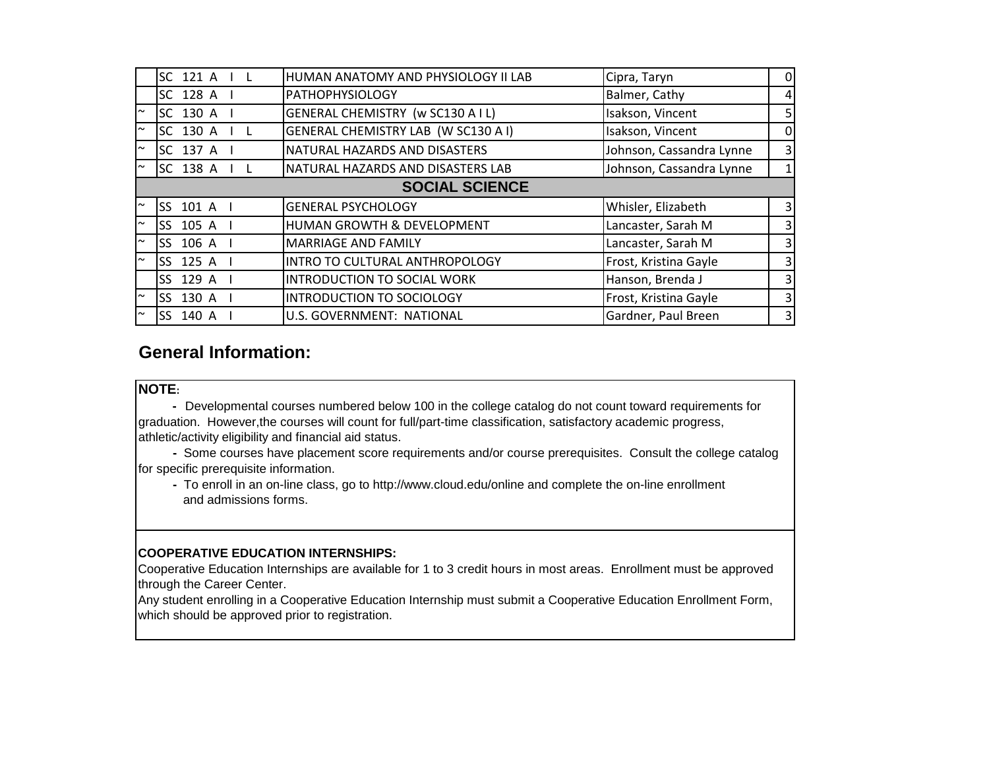|        | SC 121 A              | HUMAN ANATOMY AND PHYSIOLOGY II LAB   | Cipra, Taryn             | 0              |  |  |  |
|--------|-----------------------|---------------------------------------|--------------------------|----------------|--|--|--|
|        | SC 128 A              | <b>PATHOPHYSIOLOGY</b>                | Balmer, Cathy            | $\overline{4}$ |  |  |  |
| $\sim$ | SC 130 A              | GENERAL CHEMISTRY (w SC130 A I L)     | Isakson, Vincent         | 5              |  |  |  |
| $\sim$ | SC 130 A              | GENERAL CHEMISTRY LAB (W SC130 A I)   | Isakson, Vincent         | 0              |  |  |  |
| $\sim$ | SC 137 A              | NATURAL HAZARDS AND DISASTERS         | Johnson, Cassandra Lynne | 3              |  |  |  |
| $\sim$ | SC 138 A              | NATURAL HAZARDS AND DISASTERS LAB     | Johnson, Cassandra Lynne | $\mathbf{1}$   |  |  |  |
|        | <b>SOCIAL SCIENCE</b> |                                       |                          |                |  |  |  |
| $\sim$ | SS 101 A              | <b>GENERAL PSYCHOLOGY</b>             | Whisler, Elizabeth       | $\overline{3}$ |  |  |  |
| $\sim$ | SS 105 A I            | <b>HUMAN GROWTH &amp; DEVELOPMENT</b> | Lancaster, Sarah M       | 3              |  |  |  |
| $\sim$ | SS 106 A              | <b>MARRIAGE AND FAMILY</b>            | Lancaster, Sarah M       | 3              |  |  |  |
| $\sim$ | SS 125 A              | INTRO TO CULTURAL ANTHROPOLOGY        | Frost, Kristina Gayle    | $\overline{3}$ |  |  |  |
|        | SS 129 A I            | <b>INTRODUCTION TO SOCIAL WORK</b>    | Hanson, Brenda J         | 3              |  |  |  |
| $\sim$ | SS 130 A              | <b>INTRODUCTION TO SOCIOLOGY</b>      | Frost, Kristina Gayle    | 3              |  |  |  |
| $\sim$ | SS 140 A              | U.S. GOVERNMENT: NATIONAL             | Gardner, Paul Breen      | 3              |  |  |  |

### **General Information:**

#### **NOTE:**

j

 **-** Developmental courses numbered below 100 in the college catalog do not count toward requirements for graduation. However,the courses will count for full/part-time classification, satisfactory academic progress, athletic/activity eligibility and financial aid status.

 **-** Some courses have placement score requirements and/or course prerequisites. Consult the college catalog for specific prerequisite information.

 **-** To enroll in an on-line class, go to http://www.cloud.edu/online and complete the on-line enrollment and admissions forms.

#### **COOPERATIVE EDUCATION INTERNSHIPS:**

Cooperative Education Internships are available for 1 to 3 credit hours in most areas. Enrollment must be approved through the Career Center.

Any student enrolling in a Cooperative Education Internship must submit a Cooperative Education Enrollment Form, which should be approved prior to registration.